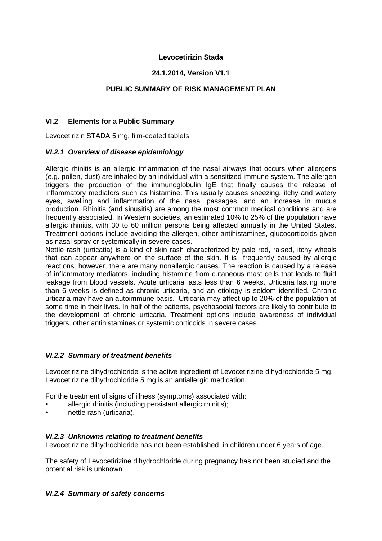#### **Levocetirizin Stada**

#### **24.1.2014, Version V1.1**

### **PUBLIC SUMMARY OF RISK MANAGEMENT PLAN**

#### **VI.2 Elements for a Public Summary**

Levocetirizin STADA 5 mg, film-coated tablets

#### *VI.2.1 Overview of disease epidemiology*

Allergic rhinitis is an allergic inflammation of the nasal airways that occurs when allergens (e.g. pollen, dust) are inhaled by an individual with a sensitized immune system. The allergen triggers the production of the immunoglobulin IgE that finally causes the release of inflammatory mediators such as histamine. This usually causes sneezing, itchy and watery eyes, swelling and inflammation of the nasal passages, and an increase in mucus production. Rhinitis (and sinusitis) are among the most common medical conditions and are frequently associated. In Western societies, an estimated 10% to 25% of the population have allergic rhinitis, with 30 to 60 million persons being affected annually in the United States. Treatment options include avoiding the allergen, other antihistamines, glucocorticoids given as nasal spray or systemically in severe cases.

Nettle rash (urticatia) is a kind of skin rash characterized by pale red, raised, itchy wheals that can appear anywhere on the surface of the skin. It is frequently caused by allergic reactions; however, there are many nonallergic causes. The reaction is caused by a release of inflammatory mediators, including histamine from cutaneous mast cells that leads to fluid leakage from blood vessels. Acute urticaria lasts less than 6 weeks. Urticaria lasting more than 6 weeks is defined as chronic urticaria, and an etiology is seldom identified. Chronic urticaria may have an autoimmune basis. Urticaria may affect up to 20% of the population at some time in their lives. In half of the patients, psychosocial factors are likely to contribute to the development of chronic urticaria. Treatment options include awareness of individual triggers, other antihistamines or systemic corticoids in severe cases.

#### *VI.2.2 Summary of treatment benefits*

Levocetirizine dihydrochloride is the active ingredient of Levocetirizine dihydrochloride 5 mg. Levocetirizine dihydrochloride 5 mg is an antiallergic medication.

For the treatment of signs of illness (symptoms) associated with:

- allergic rhinitis (including persistant allergic rhinitis);
- nettle rash (urticaria).

#### *VI.2.3 Unknowns relating to treatment benefits*

Levocetirizine dihydrochloride has not been established in children under 6 years of age.

The safety of Levocetirizine dihydrochloride during pregnancy has not been studied and the potential risk is unknown.

#### *VI.2.4 Summary of safety concerns*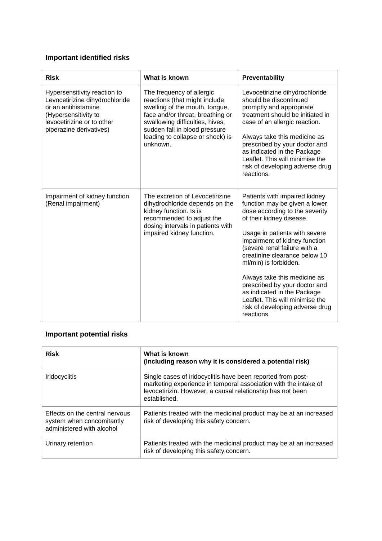# **Important identified risks**

| <b>Risk</b>                                                                                                                                                            | What is known                                                                                                                                                                                                                                        | Preventability                                                                                                                                                                                                                                                                                                                                                                                                                                                               |
|------------------------------------------------------------------------------------------------------------------------------------------------------------------------|------------------------------------------------------------------------------------------------------------------------------------------------------------------------------------------------------------------------------------------------------|------------------------------------------------------------------------------------------------------------------------------------------------------------------------------------------------------------------------------------------------------------------------------------------------------------------------------------------------------------------------------------------------------------------------------------------------------------------------------|
| Hypersensitivity reaction to<br>Levocetirizine dihydrochloride<br>or an antihistamine<br>(Hypersensitivity to<br>levocetirizine or to other<br>piperazine derivatives) | The frequency of allergic<br>reactions (that might include<br>swelling of the mouth, tongue,<br>face and/or throat, breathing or<br>swallowing difficulties, hives,<br>sudden fall in blood pressure<br>leading to collapse or shock) is<br>unknown. | Levocetirizine dihydrochloride<br>should be discontinued<br>promptly and appropriate<br>treatment should be initiated in<br>case of an allergic reaction.<br>Always take this medicine as<br>prescribed by your doctor and<br>as indicated in the Package<br>Leaflet. This will minimise the<br>risk of developing adverse drug<br>reactions.                                                                                                                                |
| Impairment of kidney function<br>(Renal impairment)                                                                                                                    | The excretion of Levocetirizine<br>dihydrochloride depends on the<br>kidney function. Is is<br>recommended to adjust the<br>dosing intervals in patients with<br>impaired kidney function.                                                           | Patients with impaired kidney<br>function may be given a lower<br>dose according to the severity<br>of their kidney disease.<br>Usage in patients with severe<br>impairment of kidney function<br>(severe renal failure with a<br>creatinine clearance below 10<br>ml/min) is forbidden.<br>Always take this medicine as<br>prescribed by your doctor and<br>as indicated in the Package<br>Leaflet. This will minimise the<br>risk of developing adverse drug<br>reactions. |

# **Important potential risks**

| <b>Risk</b>                                                                              | What is known<br>(Including reason why it is considered a potential risk)                                                                                                                                    |
|------------------------------------------------------------------------------------------|--------------------------------------------------------------------------------------------------------------------------------------------------------------------------------------------------------------|
| <b>Iridocyclitis</b>                                                                     | Single cases of iridocyclitis have been reported from post-<br>marketing experience in temporal association with the intake of<br>levocetirizin. However, a causal relationship has not been<br>established. |
| Effects on the central nervous<br>system when concomitantly<br>administered with alcohol | Patients treated with the medicinal product may be at an increased<br>risk of developing this safety concern.                                                                                                |
| Urinary retention                                                                        | Patients treated with the medicinal product may be at an increased<br>risk of developing this safety concern.                                                                                                |